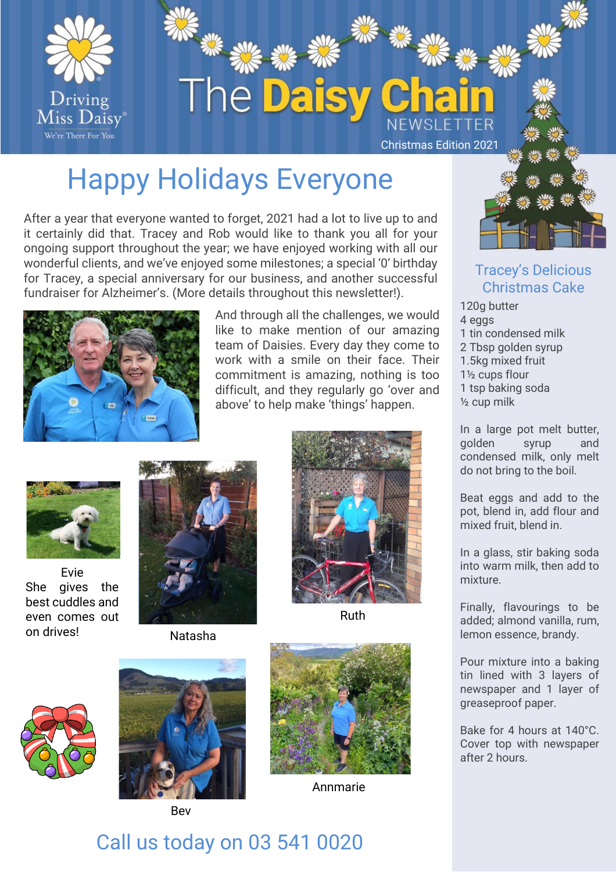

# Happy Holidays Everyone

After a year that everyone wanted to forget, 2021 had a lot to live up to and it certainly did that. Tracey and Rob would like to thank you all for your ongoing support throughout the year; we have enjoyed working with all our wonderful clients, and we've enjoyed some milestones; a special '0' birthday for Tracey, a special anniversary for our business, and another successful fundraiser for Alzheimer's. (More details throughout this newsletter!).



And through all the challenges, we would like to make mention of our amazing team of Daisies. Every day they come to work with a smile on their face. Their commitment is amazing, nothing is too difficult, and they regularly go 'over and above' to help make 'things' happen.



Evie She gives the best cuddles and even comes out on drives!



Natasha



Ruth





Bev



Annmarie



#### Tracey's Delicious Christmas Cake

120g butter 4 eggs 1 tin condensed milk 2 Tbsp golden syrup 1.5kg mixed fruit 1½ cups flour 1 tsp baking soda ½ cup milk

In a large pot melt butter, golden syrup and condensed milk, only melt do not bring to the boil.

Beat eggs and add to the pot, blend in, add flour and mixed fruit, blend in.

In a glass, stir baking soda into warm milk, then add to mixture.

Finally, flavourings to be added; almond vanilla, rum, lemon essence, brandy.

Pour mixture into a baking tin lined with 3 layers of newspaper and 1 layer of greaseproof paper.

Bake for 4 hours at 140°C. Cover top with newspaper after 2 hours.

## Call us today on 03 541 0020